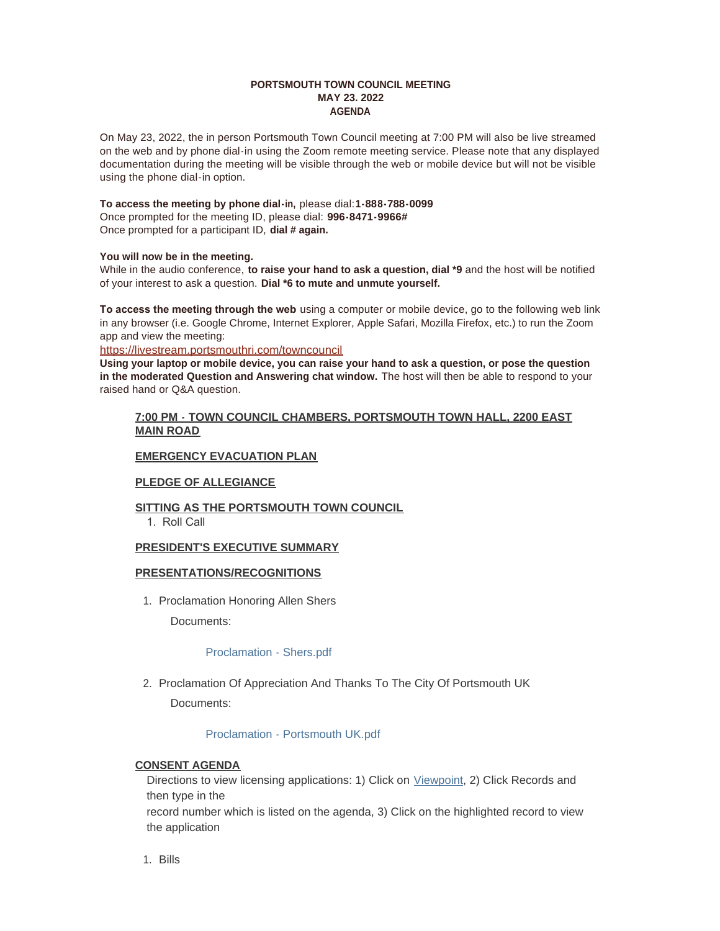### **PORTSMOUTH TOWN COUNCIL MEETING MAY 23. 2022 AGENDA**

On May 23, 2022, the in person Portsmouth Town Council meeting at 7:00 PM will also be live streamed on the web and by phone dial-in using the Zoom remote meeting service. Please note that any displayed documentation during the meeting will be visible through the web or mobile device but will not be visible using the phone dial-in option.

#### **To access the meeting by phone dial-in,** please dial:**1-888-788-0099** Once prompted for the meeting ID, please dial: **996-8471-9966#**

Once prompted for a participant ID, **dial # again.**

### **You will now be in the meeting.**

While in the audio conference, **to raise your hand to ask a question, dial \*9** and the host will be notified of your interest to ask a question. **Dial \*6 to mute and unmute yourself.**

**To access the meeting through the web** using a computer or mobile device, go to the following web link in any browser (i.e. Google Chrome, Internet Explorer, Apple Safari, Mozilla Firefox, etc.) to run the Zoom app and view the meeting:

<https://livestream.portsmouthri.com/towncouncil>

**Using your laptop or mobile device, you can raise your hand to ask a question, or pose the question in the moderated Question and Answering chat window.** The host will then be able to respond to your raised hand or Q&A question.

### **7:00 PM - TOWN COUNCIL CHAMBERS, PORTSMOUTH TOWN HALL, 2200 EAST MAIN ROAD**

# **EMERGENCY EVACUATION PLAN**

## **PLEDGE OF ALLEGIANCE**

## **SITTING AS THE PORTSMOUTH TOWN COUNCIL**

1. Roll Call

## **PRESIDENT'S EXECUTIVE SUMMARY**

## **PRESENTATIONS/RECOGNITIONS**

1. Proclamation Honoring Allen Shers

Documents:

## [Proclamation - Shers.pdf](https://www.portsmouthri.gov/AgendaCenter/ViewFile/Item/9051?fileID=12081)

2. Proclamation Of Appreciation And Thanks To The City Of Portsmouth UK Documents:

## [Proclamation - Portsmouth UK.pdf](https://www.portsmouthri.gov/AgendaCenter/ViewFile/Item/9052?fileID=12082)

# **CONSENT AGENDA**

Directions to view licensing applications: 1) Click on [Viewpoint](https://portsmouthri.viewpointcloud.com/search), 2) Click Records and then type in the record number which is listed on the agenda, 3) Click on the highlighted record to view

the application

Bills 1.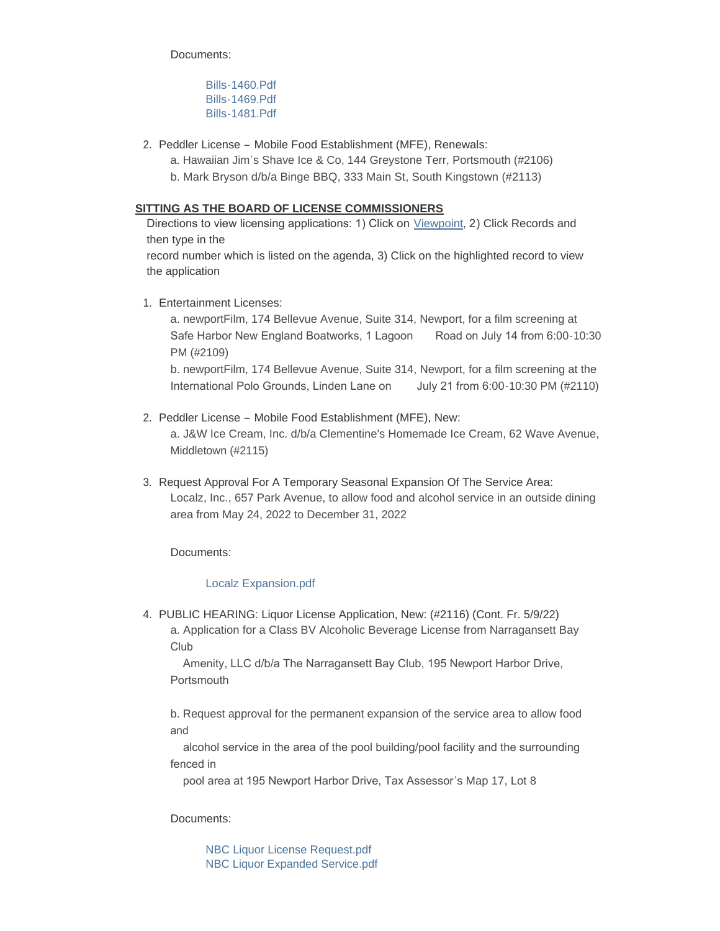Documents:

[Bills-1460.Pdf](https://www.portsmouthri.gov/AgendaCenter/ViewFile/Item/9073?fileID=12099) [Bills-1469.Pdf](https://www.portsmouthri.gov/AgendaCenter/ViewFile/Item/9073?fileID=12100) [Bills-1481.Pdf](https://www.portsmouthri.gov/AgendaCenter/ViewFile/Item/9073?fileID=12101)

- 2. Peddler License Mobile Food Establishment (MFE), Renewals:
	- a. Hawaiian Jim's Shave Ice & Co, 144 Greystone Terr, Portsmouth (#2106)
	- b. Mark Bryson d/b/a Binge BBQ, 333 Main St, South Kingstown (#2113)

## **SITTING AS THE BOARD OF LICENSE COMMISSIONERS**

Directions to view licensing applications: 1) Click on [Viewpoint](https://portsmouthri.viewpointcloud.com/search), 2) Click Records and then type in the

record number which is listed on the agenda, 3) Click on the highlighted record to view the application

Entertainment Licenses: 1.

a. newportFilm, 174 Bellevue Avenue, Suite 314, Newport, for a film screening at Safe Harbor New England Boatworks, 1 Lagoon Road on July 14 from 6:00-10:30 PM (#2109)

b. newportFilm, 174 Bellevue Avenue, Suite 314, Newport, for a film screening at the International Polo Grounds, Linden Lane on July 21 from 6:00-10:30 PM (#2110)

- 2. Peddler License Mobile Food Establishment (MFE), New: a. J&W Ice Cream, Inc. d/b/a Clementine's Homemade Ice Cream, 62 Wave Avenue, Middletown (#2115)
- 3. Request Approval For A Temporary Seasonal Expansion Of The Service Area: Localz, Inc., 657 Park Avenue, to allow food and alcohol service in an outside dining area from May 24, 2022 to December 31, 2022

Documents:

## [Localz Expansion.pdf](https://www.portsmouthri.gov/AgendaCenter/ViewFile/Item/9056?fileID=12083)

4. PUBLIC HEARING: Liquor License Application, New: (#2116) (Cont. Fr. 5/9/22) a. Application for a Class BV Alcoholic Beverage License from Narragansett Bay Club

 Amenity, LLC d/b/a The Narragansett Bay Club, 195 Newport Harbor Drive, **Portsmouth** 

b. Request approval for the permanent expansion of the service area to allow food and

 alcohol service in the area of the pool building/pool facility and the surrounding fenced in

pool area at 195 Newport Harbor Drive, Tax Assessor's Map 17, Lot 8

Documents:

[NBC Liquor License Request.pdf](https://www.portsmouthri.gov/AgendaCenter/ViewFile/Item/9057?fileID=12084) [NBC Liquor Expanded Service.pdf](https://www.portsmouthri.gov/AgendaCenter/ViewFile/Item/9057?fileID=12085)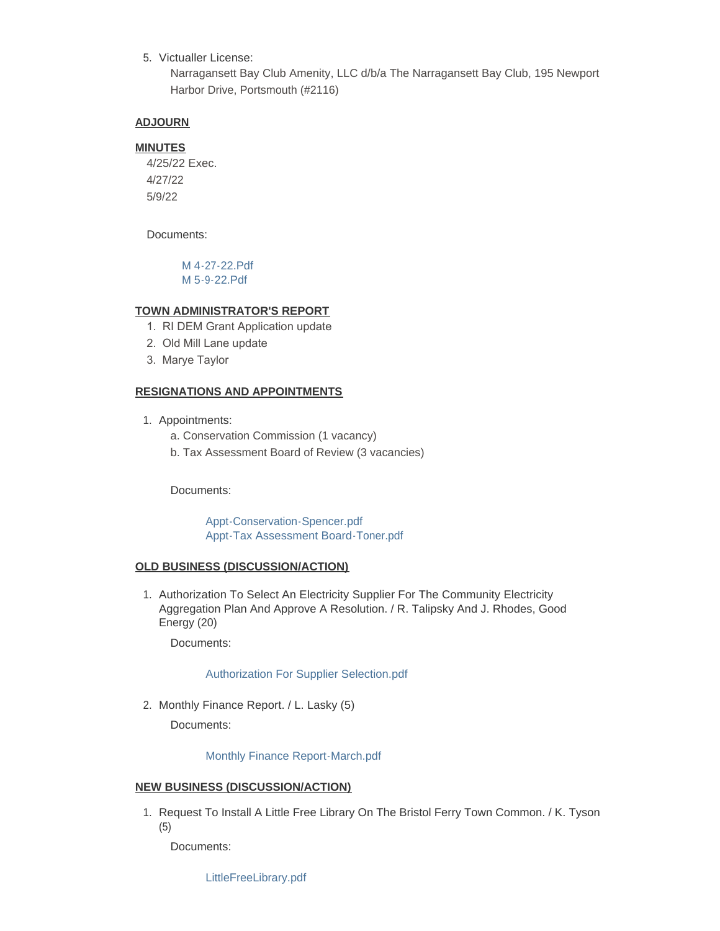5. Victualler License:

Narragansett Bay Club Amenity, LLC d/b/a The Narragansett Bay Club, 195 Newport Harbor Drive, Portsmouth (#2116)

### **ADJOURN**

## **MINUTES**

4/25/22 Exec. 4/27/22 5/9/22

Documents:

[M 4-27-22.Pdf](https://www.portsmouthri.gov/AgendaCenter/ViewFile/Item/9076?fileID=12102) [M 5-9-22.Pdf](https://www.portsmouthri.gov/AgendaCenter/ViewFile/Item/9076?fileID=12103)

# **TOWN ADMINISTRATOR'S REPORT**

- 1. RI DEM Grant Application update
- 2. Old Mill Lane update
- 3. Marye Taylor

### **RESIGNATIONS AND APPOINTMENTS**

- 1. Appointments:
	- a. Conservation Commission (1 vacancy)
	- b. Tax Assessment Board of Review (3 vacancies)

Documents:

[Appt-Conservation-Spencer.pdf](https://www.portsmouthri.gov/AgendaCenter/ViewFile/Item/9059?fileID=12086) [Appt-Tax Assessment Board-Toner.pdf](https://www.portsmouthri.gov/AgendaCenter/ViewFile/Item/9059?fileID=12087)

### **OLD BUSINESS (DISCUSSION/ACTION)**

1. Authorization To Select An Electricity Supplier For The Community Electricity Aggregation Plan And Approve A Resolution. / R. Talipsky And J. Rhodes, Good Energy (20)

Documents:

### [Authorization For Supplier Selection.pdf](https://www.portsmouthri.gov/AgendaCenter/ViewFile/Item/9060?fileID=12088)

2. Monthly Finance Report. / L. Lasky (5)

Documents:

## [Monthly Finance Report-March.pdf](https://www.portsmouthri.gov/AgendaCenter/ViewFile/Item/9080?fileID=12104)

### **NEW BUSINESS (DISCUSSION/ACTION)**

1. Request To Install A Little Free Library On The Bristol Ferry Town Common. / K. Tyson (5)

Documents:

[LittleFreeLibrary.pdf](https://www.portsmouthri.gov/AgendaCenter/ViewFile/Item/9065?fileID=12092)